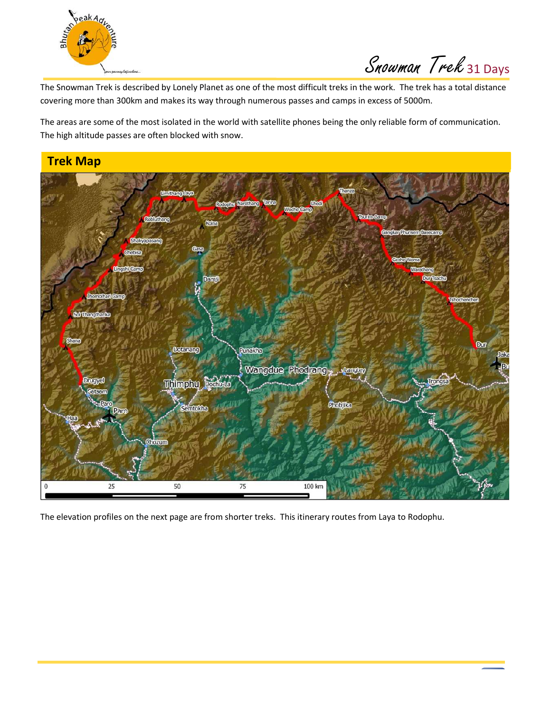

Snowman Trek 31 Days

The Snowman Trek is described by Lonely Planet as one of the most difficult treks in the work. The trek has a total distance covering more than 300km and makes its way through numerous passes and camps in excess of 5000m.

The areas are some of the most isolated in the world with satellite phones being the only reliable form of communication. The high altitude passes are often blocked with snow.



The elevation profiles on the next page are from shorter treks. This itinerary routes from Laya to Rodophu.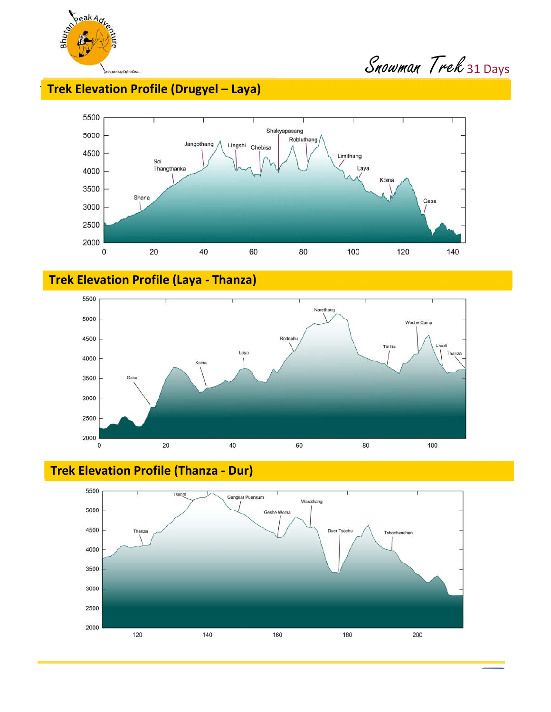

# **Trek Elevation Profile (Drugyel – Laya)**



**Trek Elevation Profile (Laya - Thanza)** 





**Trek Elevation Profile (Thanza - Dur)**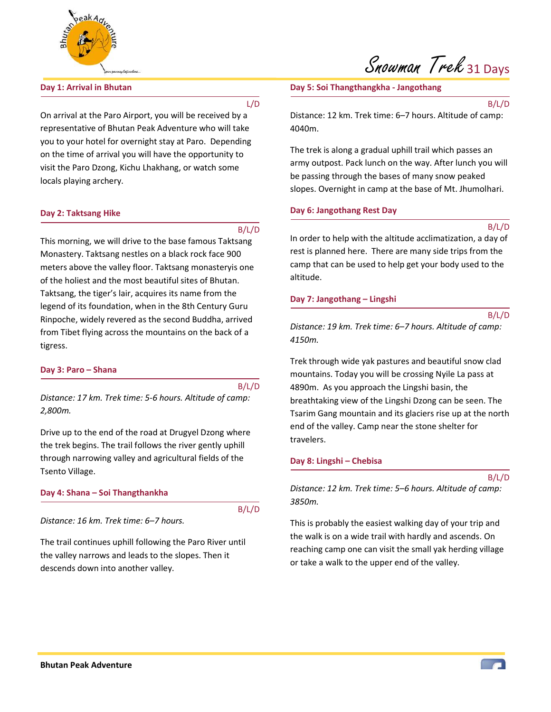

# **Day 1: Arrival in Bhutan**

#### L/D

On arrival at the Paro Airport, you will be received by a representative of Bhutan Peak Adventure who will take you to your hotel for overnight stay at Paro. Depending on the time of arrival you will have the opportunity to visit the Paro Dzong, Kichu Lhakhang, or watch some locals playing archery.

#### **Day 2: Taktsang Hike**

B/L/D

This morning, we will drive to the base famous Taktsang Monastery. Taktsang nestles on a black rock face 900 meters above the valley floor. Taktsang monasteryis one of the holiest and the most beautiful sites of Bhutan. Taktsang, the tiger's lair, acquires its name from the legend of its foundation, when in the 8th Century Guru Rinpoche, widely revered as the second Buddha, arrived from Tibet flying across the mountains on the back of a tigress.

#### **Day 3: Paro – Shana**

#### B/L/D

*Distance: 17 km. Trek time: 5-6 hours. Altitude of camp: 2,800m.* 

Drive up to the end of the road at Drugyel Dzong where the trek begins. The trail follows the river gently uphill through narrowing valley and agricultural fields of the Tsento Village.

**Day 4: Shana – Soi Thangthankha** 

B/L/D

*Distance: 16 km. Trek time: 6–7 hours.* 

The trail continues uphill following the Paro River until the valley narrows and leads to the slopes. Then it descends down into another valley.

# Snowman Trek 31 Days

#### **Day 5: Soi Thangthangkha - Jangothang**

B/L/D

Distance: 12 km. Trek time: 6–7 hours. Altitude of camp: 4040m.

The trek is along a gradual uphill trail which passes an army outpost. Pack lunch on the way. After lunch you will be passing through the bases of many snow peaked slopes. Overnight in camp at the base of Mt. Jhumolhari.

#### **Day 6: Jangothang Rest Day**

B/L/D

In order to help with the altitude acclimatization, a day of rest is planned here. There are many side trips from the camp that can be used to help get your body used to the altitude.

#### **Day 7: Jangothang – Lingshi**

B/L/D

*Distance: 19 km. Trek time: 6–7 hours. Altitude of camp: 4150m.* 

Trek through wide yak pastures and beautiful snow clad mountains. Today you will be crossing Nyile La pass at 4890m. As you approach the Lingshi basin, the breathtaking view of the Lingshi Dzong can be seen. The Tsarim Gang mountain and its glaciers rise up at the north end of the valley. Camp near the stone shelter for travelers.

#### **Day 8: Lingshi – Chebisa**

B/L/D

*Distance: 12 km. Trek time: 5–6 hours. Altitude of camp: 3850m.* 

This is probably the easiest walking day of your trip and the walk is on a wide trail with hardly and ascends. On reaching camp one can visit the small yak herding village or take a walk to the upper end of the valley.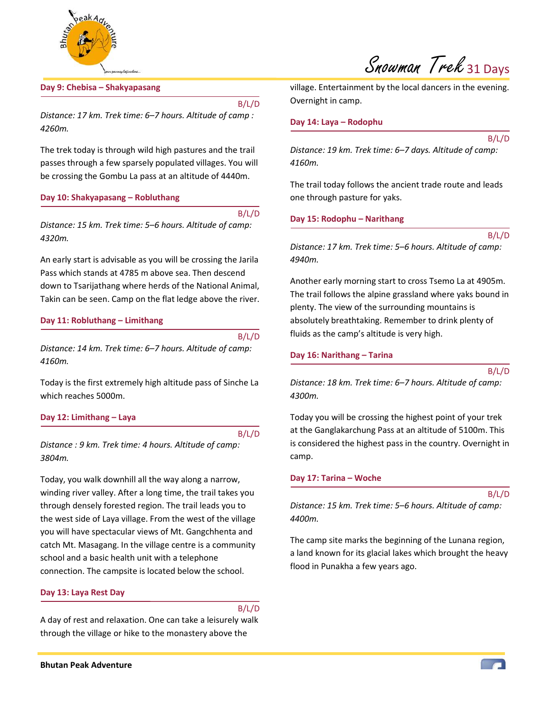

# **Day 9: Chebisa – Shakyapasang**

B/L/D

*Distance: 17 km. Trek time: 6–7 hours. Altitude of camp : 4260m.* 

The trek today is through wild high pastures and the trail passes through a few sparsely populated villages. You will be crossing the Gombu La pass at an altitude of 4440m.

# **Day 10: Shakyapasang – Robluthang**

B/L/D *Distance: 15 km. Trek time: 5–6 hours. Altitude of camp: 4320m.* 

An early start is advisable as you will be crossing the Jarila Pass which stands at 4785 m above sea. Then descend down to Tsarijathang where herds of the National Animal, Takin can be seen. Camp on the flat ledge above the river.

#### **Day 11: Robluthang – Limithang**

B/L/D

*Distance: 14 km. Trek time: 6–7 hours. Altitude of camp: 4160m.* 

Today is the first extremely high altitude pass of Sinche La which reaches 5000m.

#### **Day 12: Limithang – Laya**

B/L/D

*Distance : 9 km. Trek time: 4 hours. Altitude of camp: 3804m.* 

Today, you walk downhill all the way along a narrow, winding river valley. After a long time, the trail takes you through densely forested region. The trail leads you to the west side of Laya village. From the west of the village you will have spectacular views of Mt. Gangchhenta and catch Mt. Masagang. In the village centre is a community school and a basic health unit with a telephone connection. The campsite is located below the school.

# **Day 13: Laya Rest Day**

B/L/D

A day of rest and relaxation. One can take a leisurely walk through the village or hike to the monastery above the

village. Entertainment by the local dancers in the evening. Overnight in camp.

#### **Day 14: Laya – Rodophu**

B/L/D

*Distance: 19 km. Trek time: 6–7 days. Altitude of camp: 4160m.* 

The trail today follows the ancient trade route and leads one through pasture for yaks.

#### **Day 15: Rodophu – Narithang**

B/L/D

*Distance: 17 km. Trek time: 5–6 hours. Altitude of camp: 4940m.* 

Another early morning start to cross Tsemo La at 4905m. The trail follows the alpine grassland where yaks bound in plenty. The view of the surrounding mountains is absolutely breathtaking. Remember to drink plenty of fluids as the camp's altitude is very high.

#### **Day 16: Narithang – Tarina**

*Distance: 18 km. Trek time: 6–7 hours. Altitude of camp: 4300m.* 

Today you will be crossing the highest point of your trek at the Ganglakarchung Pass at an altitude of 5100m. This is considered the highest pass in the country. Overnight in camp.

#### **Day 17: Tarina – Woche**

B/L/D

B/L/D

*Distance: 15 km. Trek time: 5–6 hours. Altitude of camp: 4400m.* 

The camp site marks the beginning of the Lunana region, a land known for its glacial lakes which brought the heavy flood in Punakha a few years ago.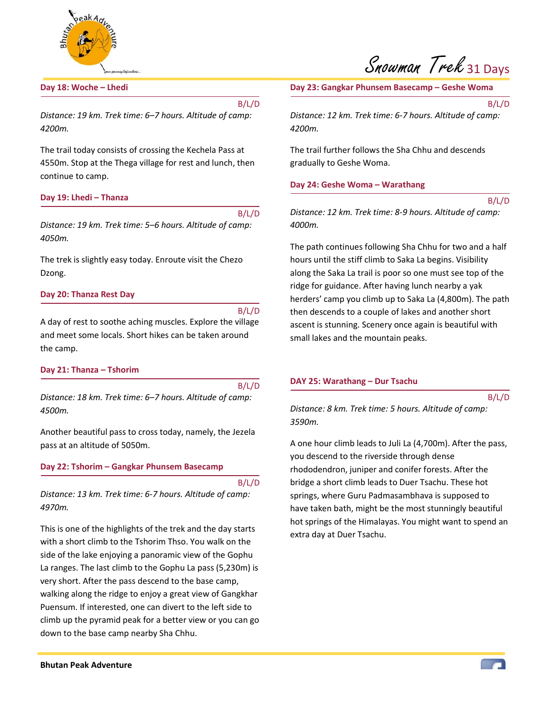

# **Day 18: Woche – Lhedi**

B/L/D

*Distance: 19 km. Trek time: 6–7 hours. Altitude of camp: 4200m.* 

The trail today consists of crossing the Kechela Pass at 4550m. Stop at the Thega village for rest and lunch, then continue to camp.

#### **Day 19: Lhedi – Thanza**

B/L/D *Distance: 19 km. Trek time: 5–6 hours. Altitude of camp: 4050m.* 

The trek is slightly easy today. Enroute visit the Chezo Dzong.

#### **Day 20: Thanza Rest Day**

B/L/D

A day of rest to soothe aching muscles. Explore the village and meet some locals. Short hikes can be taken around the camp.

#### **Day 21: Thanza – Tshorim**

B/L/D

*Distance: 18 km. Trek time: 6–7 hours. Altitude of camp: 4500m.* 

Another beautiful pass to cross today, namely, the Jezela pass at an altitude of 5050m.

#### **Day 22: Tshorim – Gangkar Phunsem Basecamp**

B/L/D

*Distance: 13 km. Trek time: 6-7 hours. Altitude of camp: 4970m.* 

This is one of the highlights of the trek and the day starts with a short climb to the Tshorim Thso. You walk on the side of the lake enjoying a panoramic view of the Gophu La ranges. The last climb to the Gophu La pass (5,230m) is very short. After the pass descend to the base camp, walking along the ridge to enjoy a great view of Gangkhar Puensum. If interested, one can divert to the left side to climb up the pyramid peak for a better view or you can go down to the base camp nearby Sha Chhu.

**Day 23: Gangkar Phunsem Basecamp – Geshe Woma** 

B/L/D

*Distance: 12 km. Trek time: 6-7 hours. Altitude of camp: 4200m.* 

The trail further follows the Sha Chhu and descends gradually to Geshe Woma.

#### **Day 24: Geshe Woma – Warathang**

B/L/D

*Distance: 12 km. Trek time: 8-9 hours. Altitude of camp: 4000m.* 

The path continues following Sha Chhu for two and a half hours until the stiff climb to Saka La begins. Visibility along the Saka La trail is poor so one must see top of the ridge for guidance. After having lunch nearby a yak herders' camp you climb up to Saka La (4,800m). The path then descends to a couple of lakes and another short ascent is stunning. Scenery once again is beautiful with small lakes and the mountain peaks.

#### **DAY 25: Warathang – Dur Tsachu**

B/L/D

*Distance: 8 km. Trek time: 5 hours. Altitude of camp: 3590m.* 

A one hour climb leads to Juli La (4,700m). After the pass, you descend to the riverside through dense rhododendron, juniper and conifer forests. After the bridge a short climb leads to Duer Tsachu. These hot springs, where Guru Padmasambhava is supposed to have taken bath, might be the most stunningly beautiful hot springs of the Himalayas. You might want to spend an extra day at Duer Tsachu.